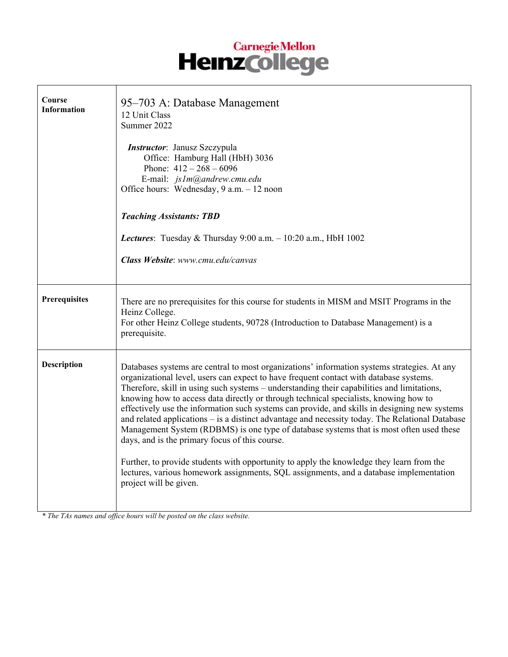# Carnegie Mellon<br>Heinz College

| Course<br><b>Information</b> | 95–703 A: Database Management<br>12 Unit Class<br>Summer 2022<br>Instructor: Janusz Szczypula<br>Office: Hamburg Hall (HbH) 3036<br>Phone: $412 - 268 - 6096$<br>E-mail: js1m@andrew.cmu.edu<br>Office hours: Wednesday, 9 a.m. - 12 noon<br><b>Teaching Assistants: TBD</b><br>Lectures: Tuesday & Thursday $9:00$ a.m. $-10:20$ a.m., HbH 1002<br>Class Website: www.cmu.edu/canvas                                                                                                                                                                                                                                                                                                                                                                                                                                                                                                                                                        |
|------------------------------|----------------------------------------------------------------------------------------------------------------------------------------------------------------------------------------------------------------------------------------------------------------------------------------------------------------------------------------------------------------------------------------------------------------------------------------------------------------------------------------------------------------------------------------------------------------------------------------------------------------------------------------------------------------------------------------------------------------------------------------------------------------------------------------------------------------------------------------------------------------------------------------------------------------------------------------------|
| Prerequisites                | There are no prerequisites for this course for students in MISM and MSIT Programs in the<br>Heinz College.<br>For other Heinz College students, 90728 (Introduction to Database Management) is a<br>prerequisite.                                                                                                                                                                                                                                                                                                                                                                                                                                                                                                                                                                                                                                                                                                                            |
| <b>Description</b>           | Databases systems are central to most organizations' information systems strategies. At any<br>organizational level, users can expect to have frequent contact with database systems.<br>Therefore, skill in using such systems – understanding their capabilities and limitations,<br>knowing how to access data directly or through technical specialists, knowing how to<br>effectively use the information such systems can provide, and skills in designing new systems<br>and related applications - is a distinct advantage and necessity today. The Relational Database<br>Management System (RDBMS) is one type of database systems that is most often used these<br>days, and is the primary focus of this course.<br>Further, to provide students with opportunity to apply the knowledge they learn from the<br>lectures, various homework assignments, SQL assignments, and a database implementation<br>project will be given. |

*\* The TAs names and office hours will be posted on the class website.*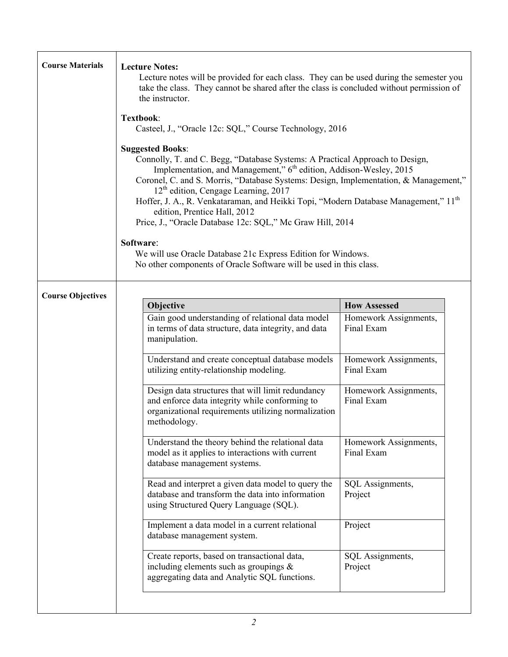| <b>Course Materials</b>  | <b>Lecture Notes:</b><br>Lecture notes will be provided for each class. They can be used during the semester you<br>take the class. They cannot be shared after the class is concluded without permission of<br>the instructor.                                                                                                                                                                                                                                                                                             |                                     |
|--------------------------|-----------------------------------------------------------------------------------------------------------------------------------------------------------------------------------------------------------------------------------------------------------------------------------------------------------------------------------------------------------------------------------------------------------------------------------------------------------------------------------------------------------------------------|-------------------------------------|
|                          | Textbook:<br>Casteel, J., "Oracle 12c: SQL," Course Technology, 2016                                                                                                                                                                                                                                                                                                                                                                                                                                                        |                                     |
|                          | <b>Suggested Books:</b><br>Connolly, T. and C. Begg, "Database Systems: A Practical Approach to Design,<br>Implementation, and Management," 6 <sup>th</sup> edition, Addison-Wesley, 2015<br>Coronel, C. and S. Morris, "Database Systems: Design, Implementation, & Management,"<br>$12th$ edition, Cengage Learning, 2017<br>Hoffer, J. A., R. Venkataraman, and Heikki Topi, "Modern Database Management," 11 <sup>th</sup><br>edition, Prentice Hall, 2012<br>Price, J., "Oracle Database 12c: SQL," Mc Graw Hill, 2014 |                                     |
|                          | Software:<br>We will use Oracle Database 21c Express Edition for Windows.<br>No other components of Oracle Software will be used in this class.                                                                                                                                                                                                                                                                                                                                                                             |                                     |
| <b>Course Objectives</b> | Objective                                                                                                                                                                                                                                                                                                                                                                                                                                                                                                                   | <b>How Assessed</b>                 |
|                          | Gain good understanding of relational data model<br>in terms of data structure, data integrity, and data<br>manipulation.                                                                                                                                                                                                                                                                                                                                                                                                   | Homework Assignments,<br>Final Exam |
|                          | Understand and create conceptual database models<br>utilizing entity-relationship modeling.                                                                                                                                                                                                                                                                                                                                                                                                                                 | Homework Assignments,<br>Final Exam |
|                          | Design data structures that will limit redundancy<br>and enforce data integrity while conforming to<br>organizational requirements utilizing normalization<br>methodology.                                                                                                                                                                                                                                                                                                                                                  | Homework Assignments,<br>Final Exam |
|                          | Understand the theory behind the relational data<br>model as it applies to interactions with current<br>database management systems.                                                                                                                                                                                                                                                                                                                                                                                        | Homework Assignments,<br>Final Exam |
|                          | Read and interpret a given data model to query the<br>database and transform the data into information<br>using Structured Query Language (SQL).                                                                                                                                                                                                                                                                                                                                                                            | SQL Assignments,<br>Project         |
|                          | Implement a data model in a current relational<br>database management system.                                                                                                                                                                                                                                                                                                                                                                                                                                               | Project                             |
|                          | Create reports, based on transactional data,<br>including elements such as groupings $\&$<br>aggregating data and Analytic SQL functions.                                                                                                                                                                                                                                                                                                                                                                                   | SQL Assignments,<br>Project         |
|                          | 2                                                                                                                                                                                                                                                                                                                                                                                                                                                                                                                           |                                     |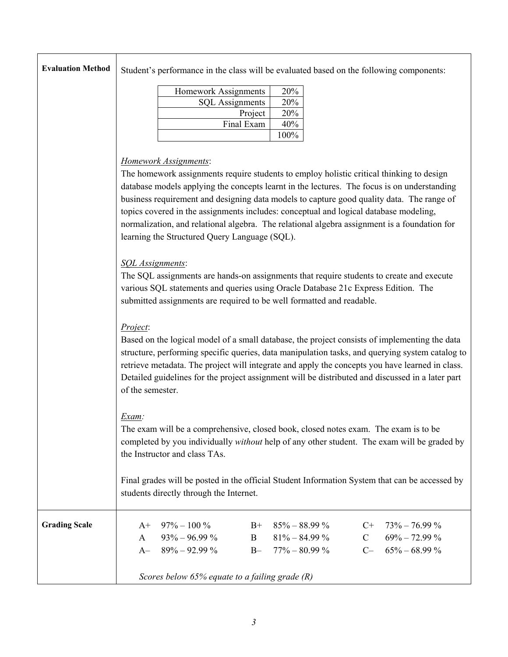|  | Evaluation Method Student's performance in the class will be evaluated based on the following components: |
|--|-----------------------------------------------------------------------------------------------------------|
|--|-----------------------------------------------------------------------------------------------------------|

| Homework Assignments   | 20%     |
|------------------------|---------|
| <b>SQL</b> Assignments | 20%     |
| Project                | 20%     |
| Final Exam             | 40%     |
|                        | $100\%$ |

## *Homework Assignments*:

The homework assignments require students to employ holistic critical thinking to design database models applying the concepts learnt in the lectures. The focus is on understanding business requirement and designing data models to capture good quality data. The range of topics covered in the assignments includes: conceptual and logical database modeling, normalization, and relational algebra. The relational algebra assignment is a foundation for learning the Structured Query Language (SQL).

#### *SQL Assignments*:

The SQL assignments are hands-on assignments that require students to create and execute various SQL statements and queries using Oracle Database 21c Express Edition. The submitted assignments are required to be well formatted and readable.

## *Project*:

Based on the logical model of a small database, the project consists of implementing the data structure, performing specific queries, data manipulation tasks, and querying system catalog to retrieve metadata. The project will integrate and apply the concepts you have learned in class. Detailed guidelines for the project assignment will be distributed and discussed in a later part of the semester.

# *Exam:*

The exam will be a comprehensive, closed book, closed notes exam. The exam is to be completed by you individually *without* help of any other student. The exam will be graded by the Instructor and class TAs.

Final grades will be posted in the official Student Information System that can be accessed by students directly through the Internet.

| <b>Grading Scale</b> | $A+97\% - 100\%$                              | $B+ 85\% - 88.99\%$                              | $C_{+}$ 73% - 76.99 %                    |
|----------------------|-----------------------------------------------|--------------------------------------------------|------------------------------------------|
|                      | $93\% - 96.99\%$<br>A<br>$A - 89\% - 92.99\%$ | $81\% - 84.99\%$<br>$B - 77\% - 80.99\%$         | $69\% - 72.99\%$<br>$C - 65\% - 68.99\%$ |
|                      |                                               | Scores below 65% equate to a failing grade $(R)$ |                                          |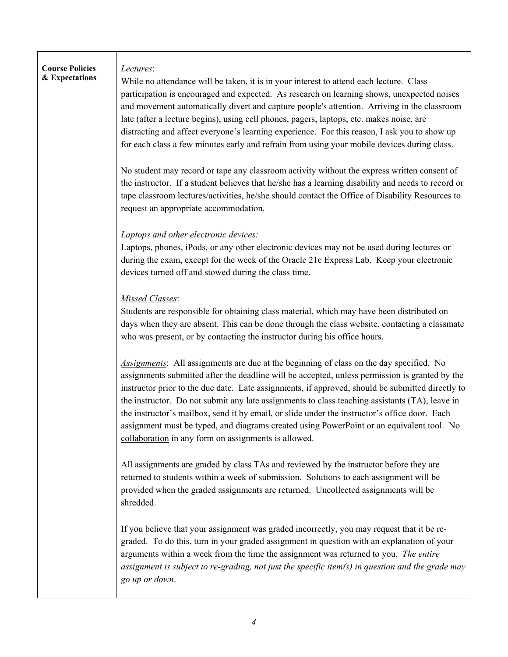| <b>Course Policies</b><br>& Expectations | Lectures:<br>While no attendance will be taken, it is in your interest to attend each lecture. Class<br>participation is encouraged and expected. As research on learning shows, unexpected noises<br>and movement automatically divert and capture people's attention. Arriving in the classroom<br>late (after a lecture begins), using cell phones, pagers, laptops, etc. makes noise, are<br>distracting and affect everyone's learning experience. For this reason, I ask you to show up<br>for each class a few minutes early and refrain from using your mobile devices during class.                                                          |
|------------------------------------------|-------------------------------------------------------------------------------------------------------------------------------------------------------------------------------------------------------------------------------------------------------------------------------------------------------------------------------------------------------------------------------------------------------------------------------------------------------------------------------------------------------------------------------------------------------------------------------------------------------------------------------------------------------|
|                                          | No student may record or tape any classroom activity without the express written consent of<br>the instructor. If a student believes that he/she has a learning disability and needs to record or<br>tape classroom lectures/activities, he/she should contact the Office of Disability Resources to<br>request an appropriate accommodation.                                                                                                                                                                                                                                                                                                         |
|                                          | Laptops and other electronic devices:<br>Laptops, phones, iPods, or any other electronic devices may not be used during lectures or<br>during the exam, except for the week of the Oracle 21c Express Lab. Keep your electronic<br>devices turned off and stowed during the class time.                                                                                                                                                                                                                                                                                                                                                               |
|                                          | Missed Classes:<br>Students are responsible for obtaining class material, which may have been distributed on<br>days when they are absent. This can be done through the class website, contacting a classmate<br>who was present, or by contacting the instructor during his office hours.                                                                                                                                                                                                                                                                                                                                                            |
|                                          | Assignments: All assignments are due at the beginning of class on the day specified. No<br>assignments submitted after the deadline will be accepted, unless permission is granted by the<br>instructor prior to the due date. Late assignments, if approved, should be submitted directly to<br>the instructor. Do not submit any late assignments to class teaching assistants (TA), leave in<br>the instructor's mailbox, send it by email, or slide under the instructor's office door. Each<br>assignment must be typed, and diagrams created using PowerPoint or an equivalent tool. No<br>collaboration in any form on assignments is allowed. |
|                                          | All assignments are graded by class TAs and reviewed by the instructor before they are<br>returned to students within a week of submission. Solutions to each assignment will be<br>provided when the graded assignments are returned. Uncollected assignments will be<br>shredded.                                                                                                                                                                                                                                                                                                                                                                   |
|                                          | If you believe that your assignment was graded incorrectly, you may request that it be re-<br>graded. To do this, turn in your graded assignment in question with an explanation of your<br>arguments within a week from the time the assignment was returned to you. The entire<br>assignment is subject to re-grading, not just the specific item(s) in question and the grade may<br>go up or down.                                                                                                                                                                                                                                                |